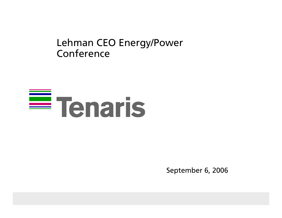#### Lehman CEO Energy/Power Conference

# $\equiv$  Tenaris

September 6, 2006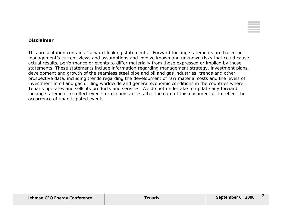

#### **Disclaimer**

This presentation contains "forward-looking statements." Forward-looking statements are based on management's current views and assumptions and involve known and unknown risks that could cause actual results, performance or events to differ materially from those expressed or implied by those statements. These statements include information regarding management strategy, investment plans, development and growth of the seamless steel pipe and oil and gas industries, trends and other prospective data, including trends regarding the development of raw material costs and the levels of investment in oil and gas drilling worldwide and general economic conditions in the countries where Tenaris operates and sells its products and services. We do not undertake to update any forwardlooking statement to reflect events or circumstances after the date of this document or to reflect the occurrence of unanticipated events.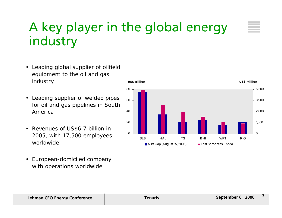#### A key player in the global energy industry

- Leading global supplier of oilfield equipment to the oil and gas industry
- Leading supplier of welded pipes for oil and gas pipelines in South America
- Revenues of US\$6.7 billion in 2005, with 17,500 employees worldwide
- European-domiciled company with operations worldwide



#### **I. Lehman CEO Energy Conference Tenaris Tenaris Tenaris Tenaris Tenaris Tenaris Tenaris Tenaris Tenaris Tenaris Tenaris Tenaris Tenaris Tenaris Tenaris Tenaris Tenaris Tenaris Tenaris**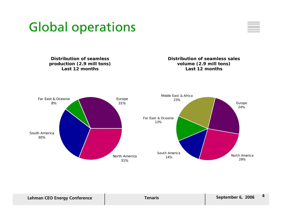



**Distribution of seamless production (2.9 mill tons) Last 12 months**

**Distribution of seamless sales volume (2.9 mill tons) Last 12 months**



| <b>Lehman CEO Energy Conference</b> | Tenaris | September 6, 2006 |  |
|-------------------------------------|---------|-------------------|--|
|                                     |         |                   |  |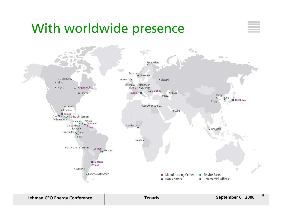#### With worldwide presence



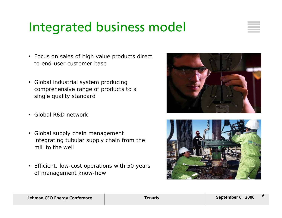### Integrated business model



- Focus on sales of high value products direct to end-user customer base
- Global industrial system producing comprehensive range of products to a single quality standard
- Global R&D network
- Global supply chain management integrating tubular supply chain from the mill to the well
- Efficient, low-cost operations with 50 years of management know-how



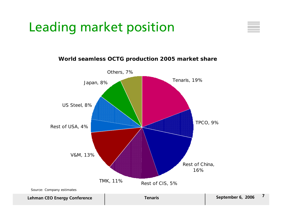## Leading market position



#### **World seamless OCTG production 2005 market share**

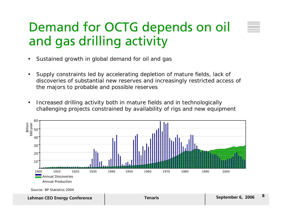#### Demand for OCTG depends on oil and gas drilling activity

- •Sustained growth in global demand for oil and gas
- $\bullet$  Supply constraints led by accelerating depletion of mature fields, lack of discoveries of substantial new reserves and increasingly restricted access of the majors to probable and possible reserves
- • Increased drilling activity both in mature fields and in technologically challenging projects constrained by availability of rigs and new equipment



Source: BP Statistics 2004

**September 6, 2006 <sup>8</sup> Lehman CEO Energy Conference Tenaris**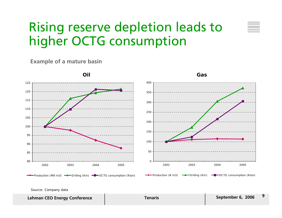#### Rising reserve depletion leads to higher OCTG consumption

**Example of a mature basin**



Source: Company data

**September 6, 2006 <sup>9</sup> Lehman CEO Energy Conference Tenaris**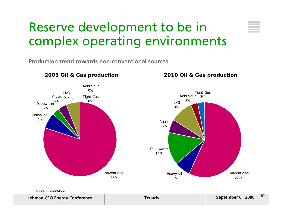#### Reserve development to be in complex operating environments

**Production trend towards non-conventional sources**



**2003 Oil & Gas production 2010 Oil & Gas production**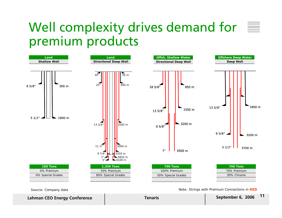#### Well complexity drives demand for  $\equiv$ premium products



Source: Company data Note: Strings with Premium Connections in **RED Note: Strings with Premium Connections in RED** 

**September 6, 2006 <sup>11</sup> Lehman CEO Energy Conference Tenaris**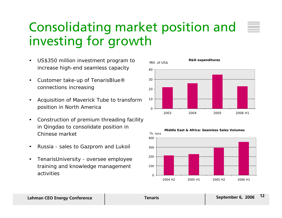### Consolidating market position and investing for growth

- $\bullet$  US\$350 million investment program to increase high-end seamless capacity
- $\bullet$  Customer take-up of TenarisBlue® connections increasing
- • Acquisition of Maverick Tube to transform position in North America
- $\bullet$  Construction of premium threading facility in Qingdao to consolidate position in Chinese market
- •Russia - sales to Gazprom and Lukoil
- $\bullet$  TenarisUniversity - oversee employee training and knowledge management activities





#### **I. Lehman CEO Energy Conference Tenaris Tenaris Tenaris Tenaris Tenaris Tenaris Tenaris Tenaris Tenaris Tenaris Tenaris Tenaris Tenaris Tenaris Tenaris Tenaris Tenaris Tenaris Tenaris**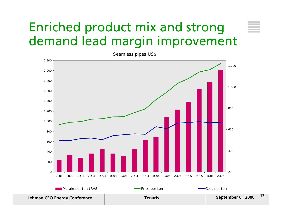#### Enriched product mix and strong demand lead margin improvement



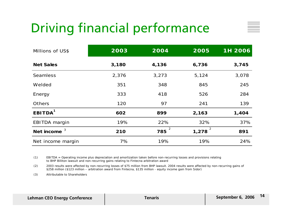# Driving financial performance

| Millions of US\$    | 2003  | 2004                  | 2005       | 1H 2006 |
|---------------------|-------|-----------------------|------------|---------|
| <b>Net Sales</b>    | 3,180 | 4,136                 | 6,736      | 3,745   |
| <b>Seamless</b>     | 2,376 | 3,273                 | 5,124      | 3,078   |
| Welded              | 351   | 348                   | 845        | 245     |
| Energy              | 333   | 418                   | 526        | 284     |
| <b>Others</b>       | 120   | 97                    | 241        | 139     |
| EBITDA <sup>1</sup> | 602   | 899                   | 2,163      | 1,404   |
| EBITDA margin       | 19%   | 22%                   | 32%        | 37%     |
| Net income $3$      | 210   | $\overline{2}$<br>785 | 2<br>1,278 | 891     |
| Net income margin   | 7%    | 19%                   | 19%        | 24%     |

(1) EBITDA = Operating income plus depreciation and amortization taken before non-recurring losses and provisions relating to BHP Billiton lawsuit and non-recurring gains relating to Fintecna arbitration award

(2) 2003 results were affected by non-recurring losses of \$75 million from BHP lawsuit. 2004 results were affected by non-recurring gains of \$258 million (\$123 million – arbitration award from Fintecna, \$135 million - equity income gain from Sidor)

(3) Attributable to Shareholders

| <b>Lehman CEO Energy Conference</b> | Tenaris | September 6, 2006 | 14 |
|-------------------------------------|---------|-------------------|----|
|-------------------------------------|---------|-------------------|----|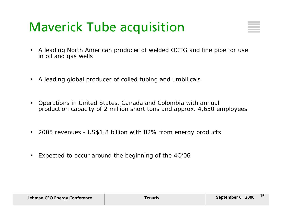### Maverick Tube acquisition

- $\bullet$  A leading North American producer of welded OCTG and line pipe for use in oil and gas wells
- A leading global producer of coiled tubing and umbilicals
- $\bullet$  Operations in United States, Canada and Colombia with annual production capacity of 2 million short tons and approx. 4,650 employees
- 2005 revenues US\$1.8 billion with 82% from energy products
- •Expected to occur around the beginning of the 4Q'06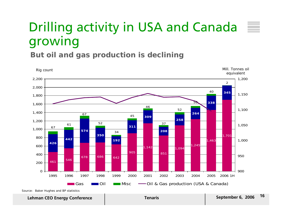## Drilling activity in USA and Canada growing

**But oil and gas production is declining**



**September 6, 2006 <sup>16</sup> Lehman CEO Energy Conference Tenaris**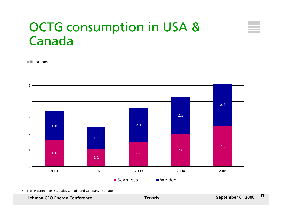#### OCTG consumption in USA & Canada

Mill. of tons



Source: Preston Pipe, Statistics Canada and Company estimates

#### **I. Lehman CEO Energy Conference Tenaris Tenaris Tenaris Tenaris Tenaris Tenaris Tenaris Tenaris Tenaris Tenaris Tenaris Tenaris Tenaris Tenaris Tenaris Tenaris Tenaris Tenaris Tenaris**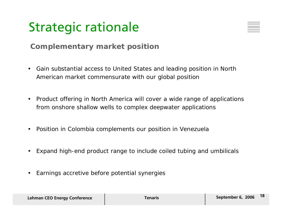### Strategic rationale



#### **Complementary market position**

- Gain substantial access to United States and leading position in North American market commensurate with our global position
- Product offering in North America will cover a wide range of applications from onshore shallow wells to complex deepwater applications
- $\bullet$ Position in Colombia complements our position in Venezuela
- $\bullet$ Expand high-end product range to include coiled tubing and umbilicals
- $\bullet$ Earnings accretive before potential synergies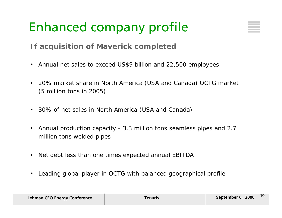# Enhanced company profile



#### **If acquisition of Maverick completed**

- •Annual net sales to exceed US\$9 billion and 22,500 employees
- • 20% market share in North America (USA and Canada) OCTG market (5 million tons in 2005)
- 30% of net sales in North America (USA and Canada)
- • Annual production capacity - 3.3 million tons seamless pipes and 2.7 million tons welded pipes
- Net debt less than one times expected annual EBITDA
- $\bullet$ Leading global player in OCTG with balanced geographical profile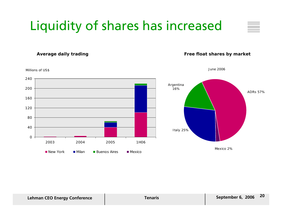# Liquidity of shares has increased

**Average daily trading**

#### **Free float shares by market**

June 2006

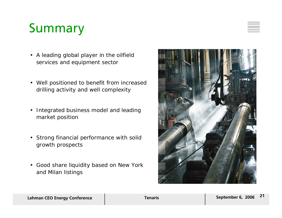### Summary

- A leading global player in the oilfield services and equipment sector
- Well positioned to benefit from increased drilling activity and well complexity
- Integrated business model and leading market position
- Strong financial performance with solid growth prospects
- Good share liquidity based on New York and Milan listings